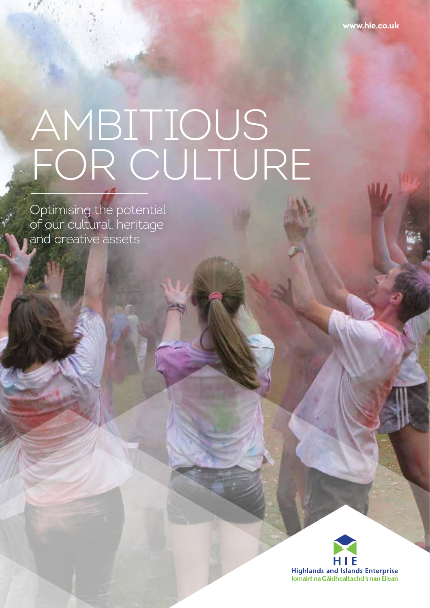**www.hie.co.uk**

# AMBITIOUS FOR CULTURE

Optimising the potential of our cultural, heritage and creative assets

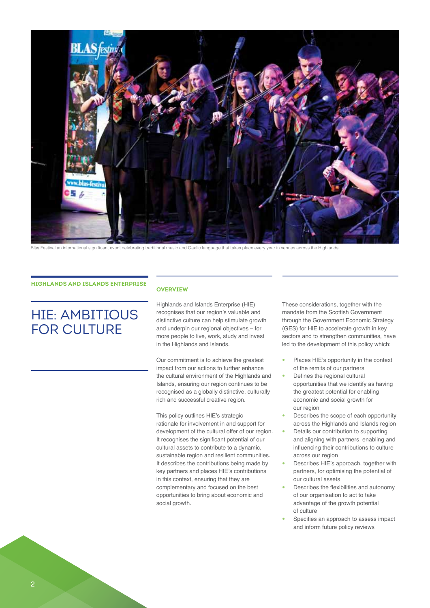

Blàs Festival an international significant event celebrating traditional music and Gaelic language that takes place every year in venues across the Highlands.

#### **Highlands and Islands Enterprise**

## HIE: AMBITIOUS FOR CULTURE

#### **Overview**

Highlands and Islands Enterprise (HIE) recognises that our region's valuable and distinctive culture can help stimulate growth and underpin our regional objectives – for more people to live, work, study and invest in the Highlands and Islands.

Our commitment is to achieve the greatest impact from our actions to further enhance the cultural environment of the Highlands and Islands, ensuring our region continues to be recognised as a globally distinctive, culturally rich and successful creative region.

This policy outlines HIE's strategic rationale for involvement in and support for development of the cultural offer of our region. It recognises the significant potential of our cultural assets to contribute to a dynamic, sustainable region and resilient communities. It describes the contributions being made by key partners and places HIE's contributions in this context, ensuring that they are complementary and focused on the best opportunities to bring about economic and social growth.

These considerations, together with the mandate from the Scottish Government through the Government Economic Strategy (GES) for HIE to accelerate growth in key sectors and to strengthen communities, have led to the development of this policy which:

- Places HIE's opportunity in the context of the remits of our partners
- Defines the regional cultural opportunities that we identify as having the greatest potential for enabling economic and social growth for our region
- Describes the scope of each opportunity across the Highlands and Islands region
- Details our contribution to supporting and aligning with partners, enabling and influencing their contributions to culture across our region
- Describes HIE's approach, together with partners, for optimising the potential of our cultural assets
- Describes the flexibilities and autonomy of our organisation to act to take advantage of the growth potential of culture
- Specifies an approach to assess impact and inform future policy reviews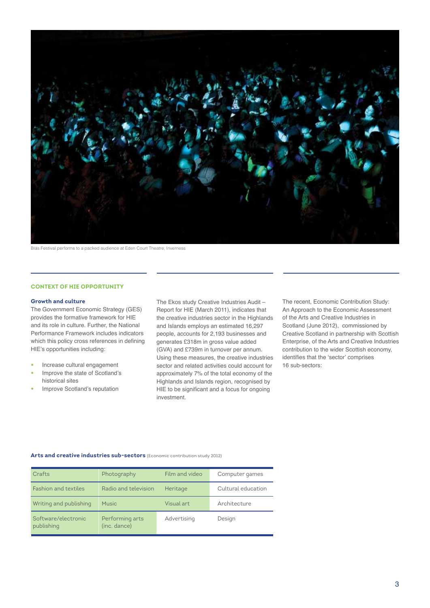

Blàs Festival performs to a packed audience at Eden Court Theatre, Inverness

#### **Context of HIE opportunity**

#### **Growth and culture**

The Government Economic Strategy (GES) provides the formative framework for HIE and its role in culture. Further, the National Performance Framework includes indicators which this policy cross references in defining HIE's opportunities including:

- Increase cultural engagement
- Improve the state of Scotland's historical sites
- Improve Scotland's reputation

The Ekos study Creative Industries Audit – Report for HIE (March 2011), indicates that the creative industries sector in the Highlands and Islands employs an estimated 16,297 people, accounts for 2,193 businesses and generates £318m in gross value added (GVA) and £739m in turnover per annum. Using these measures, the creative industries sector and related activities could account for approximately 7% of the total economy of the Highlands and Islands region, recognised by HIE to be significant and a focus for ongoing investment.

The recent, Economic Contribution Study: An Approach to the Economic Assessment of the Arts and Creative Industries in Scotland (June 2012), commissioned by Creative Scotland in partnership with Scottish Enterprise, of the Arts and Creative Industries contribution to the wider Scottish economy, identifies that the 'sector' comprises 16 sub-sectors:

#### **Arts and creative industries sub-sectors** (Economic contribution study 2012)

| Crafts                            | Photography                     | Film and video | Computer games     |
|-----------------------------------|---------------------------------|----------------|--------------------|
| <b>Fashion and textiles</b>       | Radio and television            | Heritage       | Cultural education |
| Writing and publishing            | <b>Music</b>                    | Visual art     | Architecture       |
| Software/electronic<br>publishing | Performing arts<br>(inc. dance) | Advertising    | Design             |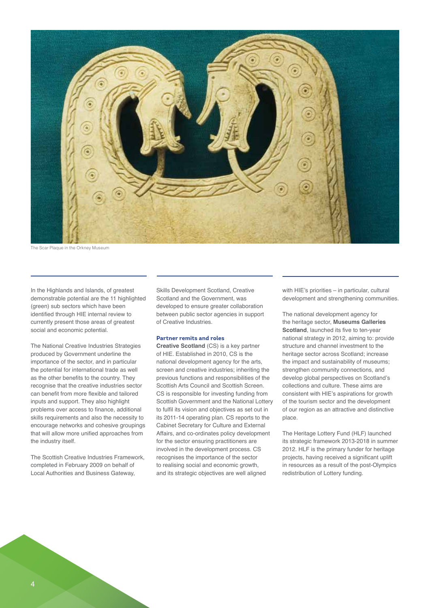

The Scar Plaque in the Orkney Museum

In the Highlands and Islands, of greatest demonstrable potential are the 11 highlighted (green) sub sectors which have been identified through HIE internal review to currently present those areas of greatest social and economic potential.

The National Creative Industries Strategies produced by Government underline the importance of the sector, and in particular the potential for international trade as well as the other benefits to the country. They recognise that the creative industries sector can benefit from more flexible and tailored inputs and support. They also highlight problems over access to finance, additional skills requirements and also the necessity to encourage networks and cohesive groupings that will allow more unified approaches from the industry itself.

The Scottish Creative Industries Framework, completed in February 2009 on behalf of Local Authorities and Business Gateway,

Skills Development Scotland, Creative Scotland and the Government, was developed to ensure greater collaboration between public sector agencies in support of Creative Industries.

#### **Partner remits and roles**

**Creative Scotland** (CS) is a key partner of HIE. Established in 2010, CS is the national development agency for the arts, screen and creative industries; inheriting the previous functions and responsibilities of the Scottish Arts Council and Scottish Screen. CS is responsible for investing funding from Scottish Government and the National Lottery to fulfil its vision and objectives as set out in its 2011-14 operating plan. CS reports to the Cabinet Secretary for Culture and External Affairs, and co-ordinates policy development for the sector ensuring practitioners are involved in the development process. CS recognises the importance of the sector to realising social and economic growth, and its strategic objectives are well aligned

with HIE's priorities – in particular, cultural development and strengthening communities.

The national development agency for the heritage sector, **Museums Galleries Scotland**, launched its five to ten-year national strategy in 2012, aiming to: provide structure and channel investment to the heritage sector across Scotland; increase the impact and sustainability of museums; strengthen community connections, and develop global perspectives on Scotland's collections and culture. These aims are consistent with HIE's aspirations for growth of the tourism sector and the development of our region as an attractive and distinctive place.

The Heritage Lottery Fund (HLF) launched its strategic framework 2013-2018 in summer 2012. HLF is the primary funder for heritage projects, having received a significant uplift in resources as a result of the post-Olympics redistribution of Lottery funding.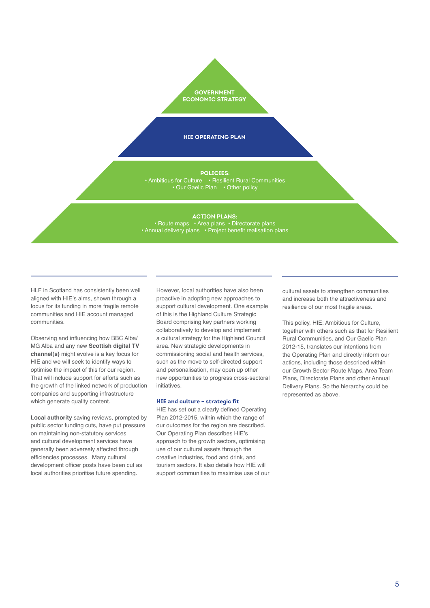

#### **HIE Operating Plan**

#### **Policies:**

• Ambitious for Culture • Resilient Rural Communities • Our Gaelic Plan • Other policy

#### **Action plans:**

• Route maps • Area plans • Directorate plans • Annual delivery plans • Project benefit realisation plans

HLF in Scotland has consistently been well aligned with HIE's aims, shown through a focus for its funding in more fragile remote communities and HIE account managed communities.

Observing and influencing how BBC Alba/ MG Alba and any new **Scottish digital TV channel(s)** might evolve is a key focus for HIE and we will seek to identify ways to optimise the impact of this for our region. That will include support for efforts such as the growth of the linked network of production companies and supporting infrastructure which generate quality content.

**Local authority** saving reviews, prompted by public sector funding cuts, have put pressure on maintaining non-statutory services and cultural development services have generally been adversely affected through efficiencies processes. Many cultural development officer posts have been cut as local authorities prioritise future spending.

However, local authorities have also been proactive in adopting new approaches to support cultural development. One example of this is the Highland Culture Strategic Board comprising key partners working collaboratively to develop and implement a cultural strategy for the Highland Council area. New strategic developments in commissioning social and health services, such as the move to self-directed support and personalisation, may open up other new opportunities to progress cross-sectoral initiatives.

#### **HIE and culture – strategic fit**

HIE has set out a clearly defined Operating Plan 2012-2015, within which the range of our outcomes for the region are described. Our Operating Plan describes HIE's approach to the growth sectors, optimising use of our cultural assets through the creative industries, food and drink, and tourism sectors. It also details how HIE will support communities to maximise use of our cultural assets to strengthen communities and increase both the attractiveness and resilience of our most fragile areas.

This policy, HIE: Ambitious for Culture, together with others such as that for Resilient Rural Communities, and Our Gaelic Plan 2012-15, translates our intentions from the Operating Plan and directly inform our actions, including those described within our Growth Sector Route Maps, Area Team Plans, Directorate Plans and other Annual Delivery Plans. So the hierarchy could be represented as above.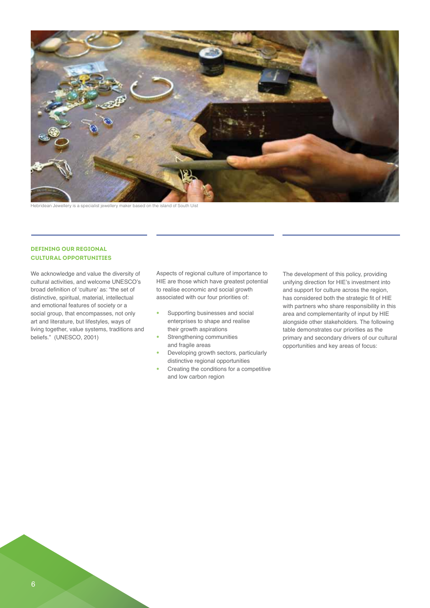

lean Jewellery is a specialist jewellery maker based on the island of South Uist

#### **Defining our regional cultural opportunities**

We acknowledge and value the diversity of cultural activities, and welcome UNESCO's broad definition of 'culture' as: "the set of distinctive, spiritual, material, intellectual and emotional features of society or a social group, that encompasses, not only art and literature, but lifestyles, ways of living together, value systems, traditions and beliefs." (UNESCO, 2001)

Aspects of regional culture of importance to HIE are those which have greatest potential to realise economic and social growth associated with our four priorities of:

- Supporting businesses and social enterprises to shape and realise their growth aspirations
- Strengthening communities and fragile areas
- Developing growth sectors, particularly distinctive regional opportunities
- Creating the conditions for a competitive and low carbon region

The development of this policy, providing unifying direction for HIE's investment into and support for culture across the region, has considered both the strategic fit of HIE with partners who share responsibility in this area and complementarity of input by HIE alongside other stakeholders. The following table demonstrates our priorities as the primary and secondary drivers of our cultural opportunities and key areas of focus: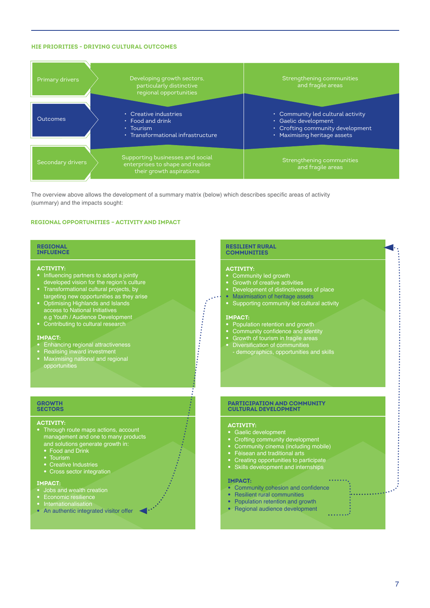#### **HIE priorities - Driving cultural outcomes**

| Primary drivers   | Developing growth sectors,<br>particularly distinctive<br>regional opportunities                             | Strengthening communities<br>and fraqile areas                                                                                |
|-------------------|--------------------------------------------------------------------------------------------------------------|-------------------------------------------------------------------------------------------------------------------------------|
| <b>Outcomes</b>   | Creative industries<br>$\bullet$<br>• Food and drink<br>$\cdot$ Tourism<br>• Transformational infrastructure | • Community led cultural activity<br>· Gaelic development<br>• Crofting community development<br>• Maximising heritage assets |
| Secondary drivers | Supporting businesses and social<br>enterprises to shape and realise<br>their growth aspirations             | Strengthening communities<br>and fraqile areas                                                                                |

The overview above allows the development of a summary matrix (below) which describes specific areas of activity (summary) and the impacts sought:

#### **Regional opportunities – activity and impact**

#### **Regional Influence**

#### **Activity:**

- Influencing partners to adopt a jointly developed vision for the region's culture
- Transformational cultural projects, by targeting new opportunities as they arise
- Optimising Highlands and Islands access to National Initiatives
- e.g Youth / Audience Development • Contributing to cultural research

#### **Impact:**

- Enhancing regional attractiveness
- Realising inward investment
- Maximising national and regional opportunities

#### **Growth Sectors**

#### **Activity:**

- Through route maps actions, account management and one to many products and solutions generate growth in:
	- Food and Drink
	- Tourism
	- Creative Industries
	- Cross sector integration

#### **Impact:**

- Jobs and wealth creation
- Economic resilience
- Internationalisation
- An authentic integrated visitor offer

#### **Resilient Rural Communities**

#### **Activity:**

- Community led growth
- Growth of creative activities
- Development of distinctiveness of place
- Maximisation of heritage assets
- Supporting community led cultural activity

#### **Impact:**

- Population retention and growth
- Community confidence and identity
- Growth of tourism in fragile areas
- Diversification of communities - demographics, opportunities and skills

#### **Participation and Community Cultural Development**

#### **Activity:**

- Gaelic development
- Crofting community development
- Community cinema (including mobile)
- Fèisean and traditional arts
- Creating opportunities to participate
- Skills development and internships

#### **Impact:**

• Community cohesion and confidence

المعانيات بالمنابذ

- Resilient rural communities
- Population retention and growth
- Regional audience development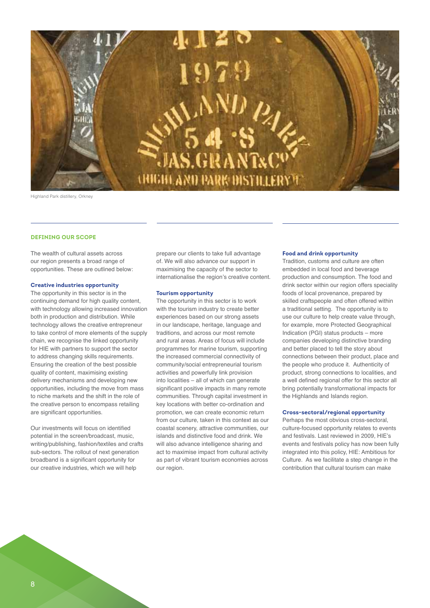

Highland Park distillery, Orkney

#### **Defining our scope**

The wealth of cultural assets across our region presents a broad range of opportunities. These are outlined below:

#### **Creative industries opportunity**

The opportunity in this sector is in the continuing demand for high quality content, with technology allowing increased innovation both in production and distribution. While technology allows the creative entrepreneur to take control of more elements of the supply chain, we recognise the linked opportunity for HIE with partners to support the sector to address changing skills requirements. Ensuring the creation of the best possible quality of content, maximising existing delivery mechanisms and developing new opportunities, including the move from mass to niche markets and the shift in the role of the creative person to encompass retailing are significant opportunities.

Our investments will focus on identified potential in the screen/broadcast, music, writing/publishing, fashion/textiles and crafts sub-sectors. The rollout of next generation broadband is a significant opportunity for our creative industries, which we will help

prepare our clients to take full advantage of. We will also advance our support in maximising the capacity of the sector to internationalise the region's creative content.

#### **Tourism opportunity**

The opportunity in this sector is to work with the tourism industry to create better experiences based on our strong assets in our landscape, heritage, language and traditions, and across our most remote and rural areas. Areas of focus will include programmes for marine tourism, supporting the increased commercial connectivity of community/social entrepreneurial tourism activities and powerfully link provision into localities – all of which can generate significant positive impacts in many remote communities. Through capital investment in key locations with better co-ordination and promotion, we can create economic return from our culture, taken in this context as our coastal scenery, attractive communities, our islands and distinctive food and drink. We will also advance intelligence sharing and act to maximise impact from cultural activity as part of vibrant tourism economies across our region.

#### **Food and drink opportunity**

Tradition, customs and culture are often embedded in local food and beverage production and consumption. The food and drink sector within our region offers speciality foods of local provenance, prepared by skilled craftspeople and often offered within a traditional setting. The opportunity is to use our culture to help create value through, for example, more Protected Geographical Indication (PGI) status products – more companies developing distinctive branding and better placed to tell the story about connections between their product, place and the people who produce it. Authenticity of product, strong connections to localities, and a well defined regional offer for this sector all bring potentially transformational impacts for the Highlands and Islands region.

#### **Cross-sectoral/regional opportunity**

Perhaps the most obvious cross-sectoral, culture-focused opportunity relates to events and festivals. Last reviewed in 2009, HIE's events and festivals policy has now been fully integrated into this policy, HIE: Ambitious for Culture. As we facilitate a step change in the contribution that cultural tourism can make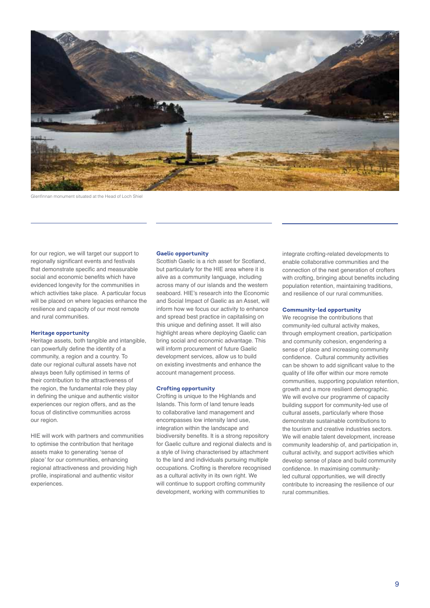

Glenfinnan monument situated at the Head of Loch Shiel

for our region, we will target our support to regionally significant events and festivals that demonstrate specific and measurable social and economic benefits which have evidenced longevity for the communities in which activities take place. A particular focus will be placed on where legacies enhance the resilience and capacity of our most remote and rural communities.

#### **Heritage opportunity**

Heritage assets, both tangible and intangible, can powerfully define the identity of a community, a region and a country. To date our regional cultural assets have not always been fully optimised in terms of their contribution to the attractiveness of the region, the fundamental role they play in defining the unique and authentic visitor experiences our region offers, and as the focus of distinctive communities across our region.

HIE will work with partners and communities to optimise the contribution that heritage assets make to generating 'sense of place' for our communities, enhancing regional attractiveness and providing high profile, inspirational and authentic visitor experiences.

#### **Gaelic opportunity**

Scottish Gaelic is a rich asset for Scotland, but particularly for the HIE area where it is alive as a community language, including across many of our islands and the western seaboard. HIE's research into the Economic and Social Impact of Gaelic as an Asset, will inform how we focus our activity to enhance and spread best practice in capitalising on this unique and defining asset. It will also highlight areas where deploying Gaelic can bring social and economic advantage. This will inform procurement of future Gaelic development services, allow us to build on existing investments and enhance the account management process.

#### **Crofting opportunity**

Crofting is unique to the Highlands and Islands. This form of land tenure leads to collaborative land management and encompasses low intensity land use, integration within the landscape and biodiversity benefits. It is a strong repository for Gaelic culture and regional dialects and is a style of living characterised by attachment to the land and individuals pursuing multiple occupations. Crofting is therefore recognised as a cultural activity in its own right. We will continue to support crofting community development, working with communities to

integrate crofting-related developments to enable collaborative communities and the connection of the next generation of crofters with crofting, bringing about benefits including population retention, maintaining traditions, and resilience of our rural communities.

#### **Community-led opportunity**

We recognise the contributions that community-led cultural activity makes, through employment creation, participation and community cohesion, engendering a sense of place and increasing community confidence. Cultural community activities can be shown to add significant value to the quality of life offer within our more remote communities, supporting population retention, growth and a more resilient demographic. We will evolve our programme of capacity building support for community-led use of cultural assets, particularly where those demonstrate sustainable contributions to the tourism and creative industries sectors. We will enable talent development, increase community leadership of, and participation in, cultural activity, and support activities which develop sense of place and build community confidence. In maximising communityled cultural opportunities, we will directly contribute to increasing the resilience of our rural communities.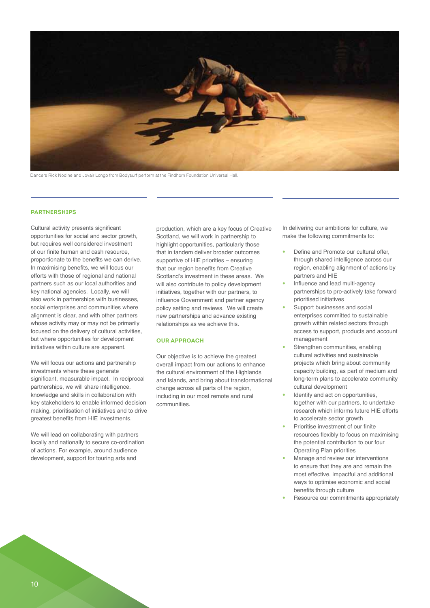

Dancers Rick Nodine and Jovair Longo from Bodysurf perform at the Findhorn Foundation Universal Hall.

#### **Partnerships**

Cultural activity presents significant opportunities for social and sector growth, but requires well considered investment of our finite human and cash resource, proportionate to the benefits we can derive. In maximising benefits, we will focus our efforts with those of regional and national partners such as our local authorities and key national agencies. Locally, we will also work in partnerships with businesses, social enterprises and communities where alignment is clear, and with other partners whose activity may or may not be primarily focused on the delivery of cultural activities, but where opportunities for development initiatives within culture are apparent.

We will focus our actions and partnership investments where these generate significant, measurable impact. In reciprocal partnerships, we will share intelligence, knowledge and skills in collaboration with key stakeholders to enable informed decision making, prioritisation of initiatives and to drive greatest benefits from HIE investments.

We will lead on collaborating with partners locally and nationally to secure co-ordination of actions. For example, around audience development, support for touring arts and

production, which are a key focus of Creative Scotland, we will work in partnership to highlight opportunities, particularly those that in tandem deliver broader outcomes supportive of HIE priorities – ensuring that our region benefits from Creative Scotland's investment in these areas. We will also contribute to policy development initiatives, together with our partners, to influence Government and partner agency policy setting and reviews. We will create new partnerships and advance existing relationships as we achieve this.

#### **Our approach**

Our objective is to achieve the greatest overall impact from our actions to enhance the cultural environment of the Highlands and Islands, and bring about transformational change across all parts of the region, including in our most remote and rural communities.

In delivering our ambitions for culture, we make the following commitments to:

- Define and Promote our cultural offer. through shared intelligence across our region, enabling alignment of actions by partners and HIE
- Influence and lead multi-agency partnerships to pro-actively take forward prioritised initiatives
- Support businesses and social enterprises committed to sustainable growth within related sectors through access to support, products and account management
- Strengthen communities, enabling cultural activities and sustainable projects which bring about community capacity building, as part of medium and long-term plans to accelerate community cultural development
- Identify and act on opportunities, together with our partners, to undertake research which informs future HIE efforts to accelerate sector growth
- Prioritise investment of our finite resources flexibly to focus on maximising the potential contribution to our four Operating Plan priorities
- Manage and review our interventions to ensure that they are and remain the most effective, impactful and additional ways to optimise economic and social benefits through culture
- Resource our commitments appropriately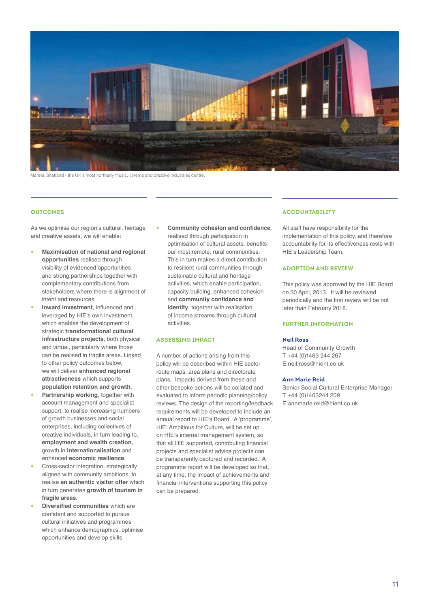

Mareel, Shetland - the UK's most northerly music, cinema and creative industries centre.

#### **Outcomes**

As we optimise our region's cultural, heritage and creative assets, we will enable:

- **Maximisation of national and regional opportunities** realised through visibility of evidenced opportunities and strong partnerships together with complementary contributions from stakeholders where there is alignment of intent and resources.
- **Inward investment**, influenced and leveraged by HIE's own investment, which enables the development of strategic **transformational cultural infrastructure projects**, both physical and virtual, particularly where those can be realised in fragile areas. Linked to other policy outcomes below, we will deliver **enhanced regional attractiveness** which supports **population retention and growth**.
- **Partnership working**, together with account management and specialist support, to realise increasing numbers of growth businesses and social enterprises, including collectives of creative individuals, in turn leading to, **employment and wealth creation**, growth in **internationalisation** and enhanced **economic resilience**.
- Cross-sector integration, strategically aligned with community ambitions, to realise **an authentic visitor offer** which in turn generates **growth of tourism in fragile areas.**
- **Diversified communities** which are confident and supported to pursue cultural initiatives and programmes which enhance demographics, optimise opportunities and develop skills

• **Community cohesion and confidence**, realised through participation in optimisation of cultural assets, benefits our most remote, rural communities. This in turn makes a direct contribution to resilient rural communities through sustainable cultural and heritage activities, which enable participation, capacity building, enhanced cohesion and **community confidence and identity**, together with realisation of income streams through cultural activities.

#### **Assessing impact**

A number of actions arising from this policy will be described within HIE sector route maps, area plans and directorate plans. Impacts derived from these and other bespoke actions will be collated and evaluated to inform periodic planning/policy reviews. The design of the reporting/feedback requirements will be developed to include an annual report to HIE's Board. A 'programme', HIE: Ambitious for Culture, will be set up on HIE's internal management system, so that all HIE supported, contributing financial projects and specialist advice projects can be transparently captured and recorded. A programme report will be developed so that, at any time, the impact of achievements and financial interventions supporting this policy can be prepared.

#### **Accountability**

All staff have responsibility for the implementation of this policy, and therefore accountability for its effectiveness rests with HIE's Leadership Team.

#### **Adoption and review**

This policy was approved by the HIE Board on 30 April, 2013. It will be reviewed periodically and the first review will be not later than February 2018.

#### **Further information**

#### **Neil Ross**

Head of Community Growth T +44 (0)1463 244 267 E neil.ross@hient.co uk

#### **Ann Marie Reid**

Senior Social Cultural Enterprise Manager T +44 (0)1463244 209 E annmarie.reid@hient.co uk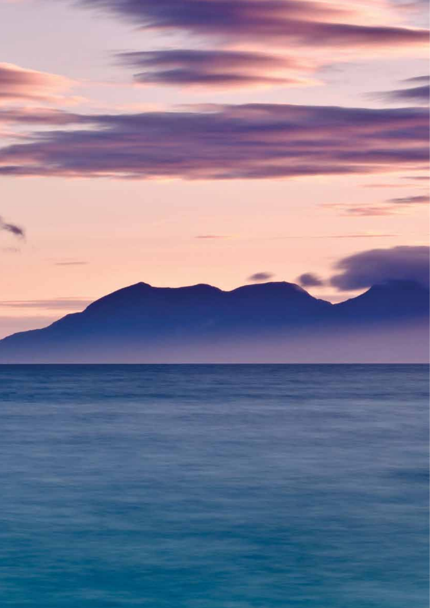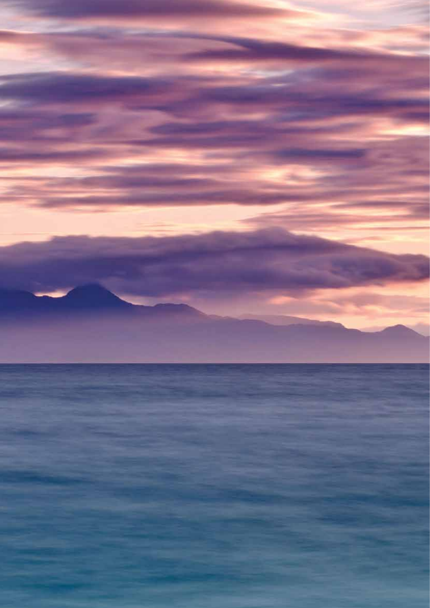

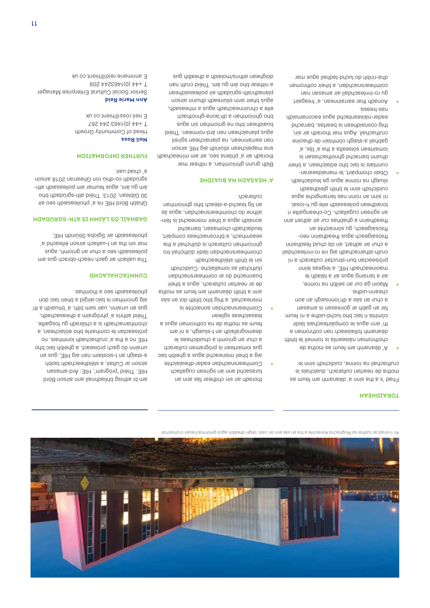

lisdosdturo nasadosdmoíng augs ddlaedb-dgist ,lóeo na nna sás na sdt a etdoianoA bdosdgoíR sa ladtaut as banoi-t nA

#### **EXPLAMALLS**

Fhad 's a tha sinn a' dèanamh am feum as motha de neartan cultarach, dualchais is cruthachail na roinne, cuidichidh sinn le:

- A' dèanamh am feuna as motha de chothroman nàiseanta is roinneil le bhith dèanamh follaiseach nan cothroman a th' ann agus le compàirteachais làidir còmhla ri taic bho luchd-uidhe a nì feum far an gabh ar goireasan is amasan a chur an sàs a dh'ionnsaigh an aon cheann-uidhe.
- Maoin ga cur an seilbh na roinne, air a tarraing agus air a tàladh le maoineachadh HIE, a leigeas leinn pròiseactan bun-structair cultarach a nì cruth-atharrachadh aig ìre ro-innleachdail a chur air adhart, an dà chuid feadhainn fhiosaigeach agus fheadhainn neofhiosaigeach, gu sònraichte an fheadhainn a ghabhas cur air adhart ann an sgìrean cugallach. Co-cheangailte ri toraidhean poileasaidh eile gu h-ìosal, nì sinn an roinn nas tarraingiche agus cuidichid sinn le phith gleidheadh sluagh na roinne agus ga lendachadh. Obair chompàirt, le manaidsearan- •
- cunntais is taic bho eòlaichean, a bheir dhuinn barrachd ghnothachasan is iomairtean sòisealta a tha a' fàs, a' gabhail a-staigh còmhlain de dhaoine cruthachail. Agus mar thoradh air sin, thig cosnaidhean is beartas, barrachd eadar-nàiseantachd agus eaconamaidh nas treasa.
- Aonadh thar earrainnean, a' freagairt gu ro-innleachdail air amasan nan coimhearsnachdan, a bheir cothroman dha-rìribh do luchd-tadhail agus mar

thoradh air sin chithear fàs ann an turasachd ann an sgìrean cugallach Coimhearsnachdan eadar-dhealaichte • aig a bheil misneachd agus a gheibh taic gus iomairtean is prògraman cultarach a chur an gnìomh a chuidicheas le deamografaidh an t-sluaigh, a nì am

feum as motha de na cothroman agus a leasaicheas sgilean Coimhearsnachdan aonaichte is misneachail, a thig bho bhith dol an sàs ann a bhith dèanamh am feum as motha de ar neartan cultarach, agus a bheir buannachd do ar coimhearsnachdan dùthchail as iomallaiche. Cuidichidh sin le bhith stèidheachadh choimhearsnachdan làidir dùthchail tro ghnìomhan cultarach is dùthchail a tha seasmhach, a bhrosnaicheas compàirt, leudachadh chomasan, barrachd aonaidh agus a bheir misneachd is fèin-

aithne do choimhearsnachdan, agus às an tig teachd-a-steach bho ghnìomhan

## cultarach.

**EXEMPLE BUAIDHE** 

Bidh grunn ghnìomhan, a nithear mar thoradh air a' phlana seo, air am mìneachadh sna mapaichean stiùiridh aig HIE airson nan earrainnean, na planaichean sgìreil agus planaichean nan àrd-roinnean. Thèid sn6e uis ueywouu6 eu oyq ueaypienq bho ghnìomhan a dh'aona-ghnothach eile a chruinneachadh agus a mheasadh, agus bheir sinn stiùireadh dhuinn airson planadh/ath-sgrùdadh air poileasaidhean a nithear bho àm gu àm. Thèid cruth nan dòighean aithris/molaidh a dhealbh gus

am bi aithisg bhliadhnail ann airson Bòrd HIE. Thèid 'prògram', HIE: Àrd-amasan airson ar Cultair, a stèidheachadh taobh a-staigh an t-siostaim rian aig HIE, gus an urrainn do gach pròiseact, a gheibh taic bho HIE no a tha a' cruthachadh ionmhais, no pròiseactan le comhairle bho eòlaichean, a chomharrachadh is a chlàradh gu fosgailte. Thèid aithris a' phrògraim a dheasachadh, gus an urrainn, uair sam bith, a' bhuaidh a th' aig gnìomhan is taic-airgid a bheir taic don phoileasaidh seo a thomhas.

#### **CUNNIACHALACHD**

Tha uallach air gach neach-obrach gus am poileasaidh seo a chur an gnìomh, agus mar sin tha an t-uallach airson èifeachd a' phoileasaidh air Sgioba Stiùiridh HIE.

#### **h -sgrùdad h is at h ail òs làim h ab G**

Ghabh Bòrd HIE ris a' phoileasaidh seo air 30 Giblean, 2013. Thèid ath-sgrùdadh bho àm gu àm, agus feumar am poileasaidh athsgrùdadh co-dhiù ron Ghearran 2018 airson a' chiad uair.

#### **FURTHER INFORMATION**

#### **oss R except**

Head of Community Growth  $144(0)$  +44 (0) +44 1 E neil.ross@hient.co uk

#### **eid R arie M nn A**

Senior Social Cultural Enterprise Manager T +44 (0)1463244 209 E annmarie.reid@hient.co uk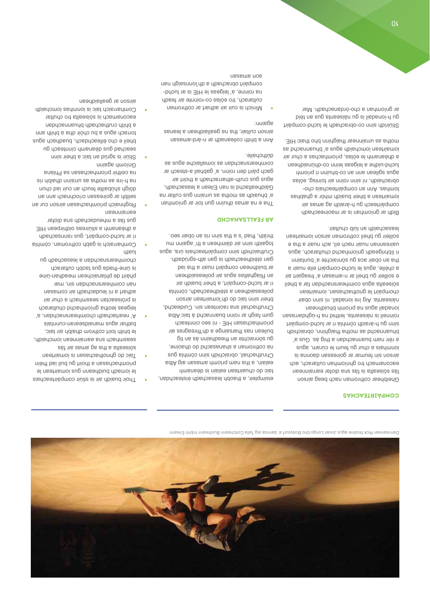

Dannsairean Rick Nodine agus Jovair Longo bho Bodysurf a' dannsa aig Talla Coitcheann Buidheann Inbhir Eireann

#### **COMPÀIRTEACHAS**

Gheibhear cothroman nach beag airson fàs sòisealta is fàs sna diofar earrainnean eaconamach tro ghnìomhan cultarach, ach airson sin feumar ar goireasan daonna is ionmhais a chur gu feum le cùram, agus a rèir nam buannachdan a thig às. Gus a' bhuannachd as motha fhaighinn, obraichidh sinn gu h-àraidh còmhla ri ar luchd-compàirt roinneil is nàiseanta, leithid na h-ùghdarrasan ionadail agus na prìomh bhuidhnean nàiseanta. Aig ìre ionadail, nì sinn obair chompàirt le gnothachasan, iomairtean sòisealta agus coimhearsnachdan far a bheil e soilleir gu bheil ar n-amasan a' freagairt air a chèile, agus le luchd-compàirt eile nuair a tha an obair aca gu sònraichte a' buntainn ri lìbhrigeadh gnìomhachd chultarach, agus uaireannan nuair nach eil, ach nuair a tha e soilleir gu bheil cothroman airson iomairtean leasachaidh an lùib chultair.

Bidh ar gnìomhan is ar maoineachadh compàirteach gu h-àraidh ag amas air iomairtean a bheir buaidh mhòr a ghabhas tomhas. Ann an compàirteachais choobrachaidh, nì sinn roinn air toinisg, eòlas agus sgilean ann an co-bhuinn ri prìomh luchd-uidhe a leigeas leinn co-dhùnaidhean a dhèanamh le eòlas, prìomhachas a chur air iomairtean iomchaidh agus a' bhuannachd as motha as urrainnear fhaighinn bho thaic HIE.

Stiùiridh sinn co-obrachadh le luchd-compàirt gu h-ionadail is gu nàiseanta gus an tèid ar gnìomhan a cho-òrdanachadh. Mar

eisimpleir, a thaobh leasachadh èisteachdan, taic do chuairtean ealain is dèanamh ealain, a tha nam prìomh amasan aig Alba Chruthachail, obraichidh sinn còmhla gus na cothroman a shanasachd do dhaoine, git ns as nnishbasht na strìoisnnós ug builean nas fharsainge a dh'fhreagras air prìomhachasan HIE - nì seo cinnteach gum faigh ar roinn buannachd à taic Alba Chruthachail sna raointean sin. Cuideachd, bheir sinn taic do dh'iomairtean airson poileasaidhean a stèidheachadh, còmhla ri ar luchd-compàirt, a bheir buaidh air an Riaghaltas agus air poileasaidhean ar buidhnean compàirt nuair a tha iad gan stèidheachadh is gan ath-sgrùdadh. Cruthaichidh sinn compàirteachais ùra, agus togaidh sinn air dàimhean a th' againn mu

#### **d FEALLSANACHD**

Tha e na amas dhuinn gun toir ar gnìomhan a' bhuaidh as motha as urrainn gus cultar na Gàidhealtachd is nan Eilean a leasachadh, agus gus cruth-atharrachadh a thoirt air gach pàirt den roinn, a' gabhail a-steach ar coimhearsnachdan as iomallaiche agus as dùthchaile.

thràth, fhad is a thrath in the sum is an independent

Ann a bhith coileanadh ar n-àrd-amasan airson cultair, tha na geallaidhean a leanas againn:

Mìnich is cuir air adhart ar cothroman • cultarach, tro eòlas co-roinnte air feadh na roinne, a' leigeas le HIE is ar luchdcompàirt obrachadh a dh'ionnsaigh nan aon amasan

- Thoir buaidh air is stiùir compàirteachais le iomadh buidheann gus iomairtean le
- prìomhachasan a thoirt gu buil iad fhèin Taic do ghnothachasan is integried. sòisealta a tha ag amas air fàs
- seasmhach sna earrainnean iomchaidh, le bhith toirt cothrom dhaibh air taic, bathar agus manaidsearan-cunntais A' neartachadh choimhearsnachdan, a' • leigeas leotha gnìomhachd chultarach
- is pròiseactan seasmhach a chur air adhart a nì leudachadh air comasan nan coimhearsnachdan sin, mar phàirt de phlanaichean meadhan-ùine is ùine-fhada gus taobh cultarach choimhearsnachdan a leasachadh gu uien
- Comharraich is gabh cothroman, còmhla ri ar luchd-compàirt, gus rannsachadh a dhèanamh a stiùireas oidhirpean HIE gus fàs a mheudachadh sna diofar earrainnean
- Roghnaich prìomhachasan airson cur an seilbh ar goireasan crìochnach ann an dòigh shùbailte feuch an cuir iad chun na h-ìre as motha as urrainn dhaibh ris na ceithir prìomhachasan sa Phlana Gniomh againn
- Stiùir is sgrùd an taic a bheir sinn seacµad dha gear uniteach dh bheil e cho èifeachdach, buadhach agus torrach agus a bu chòir dha a bhith ann a bhith cruthachadh bhuannachdan eaconamach is sòisealta tro chultar Comharraich taic is ionmhas iomchaidh •
- airson ar geallaidhean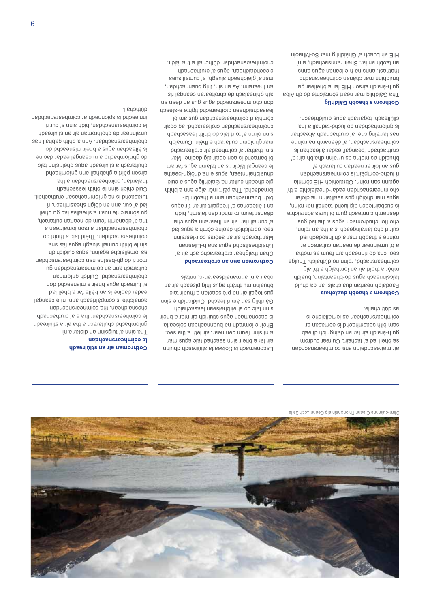

Carn-cuimhne Gleann Fhionghain aig Ceann Loch S

#### **Cothroman air an stiùireadh le coimhearsnachdan**

Tha sinn a' tuigsinn an diofar a nì gnìomhachd chultarach a tha air a stiùireadh le coimhearsnachdan: tha e a' cruthachadh chosnaidhean, tha coimhearsnachdan aonaichte is compàirteach ann, nì e ceangal eadar daoine is an t-àite far a bheil iad a' fuireach agus bheir e misneachd don choimhearsnachd. Cuiridh gnìomhan cultarach ann an coimhearsnachdan gu mòr ri dòigh-beatha nan coimhearsnachdan as iomallaiche againn, agus cuidichidh sin le bhith cumail sluagh agus fàs sua coimhearsnachdan. Thèid taic a tiont do choimhearsnachdan airson iomairtean a tha a' dèanamh feum de neartan cultarach, gu sònraichte nuair a sheallas iad gu bheil iad a' cur, ann an dòigh sheasmhach, ri turasachd is na gnìomhachasan cruthachail. Cuidichidh el nuis de appropriad thàlantan, coimhearsnachdan a tha airson pàirt a ghabhail ann gnìomhachd chultarach a stiùireadh agus bheir sinn taic do ghnìomhachd a nì ceangal eadar daoine is àiteachan agus a bheir misneachd do choimhearsnachdan. Ann a bhith gabhail nas urrainnear de chothroman air an stiùireadh le coimhearsnachdan, bidh sinn a' cur ri innleachd is spionnadh ar coimhearsnachdan dùthchail.

Eaconamach is Sòisealta stiùireadh dhuinn air far a bheir sinn seachad taic agus mar a nì sinn feum den neart air leth a tha seo. Bheir e iomradh na buannachdan sòisealta is eaconamach agus stiùiridh air mar a bheir sinn taic do sheirbheisean leasachaidh Gàidhlig san àm ri teachd. Cuidichidh e sinn gus togail air na pròiseactan a fhuair taic bhuainn mu thràth agus thig piseach air an obair a nì ar manaidsearan-cunntais.

#### **Cothroman ann an croitearachd**

Chan fhaighear croitearachd ach air a' Ghàidhealtachd agus sna h-Eileanan. Mar thoradh air an seòrsa còir-fearainn seo, obraichidh daoine còmhla agus iad a' cumail rian air an fhearann agus cha dèanar feum ro mhòr den talamh, bidh an t-àiteachas a' freagairt air an tìr agus bid haobh ann a thaobh biiomadachd. Tha pàirt mòr aige ann a bhith gleidheadh cultar na Gàidhlig agus a cuid dhualchainntean, agus e na dhòigh-beatha le ceangal làidir ris an talamh agus far am bi barrachd is aon obair aig daoine. Mar sin, thathar a' coimhead air croitearachd mar ghnìomh cultarach e fhèin. Cumaidh sinn oirnn a' toirt taic do bhith leasachadh choimhearsnachdan croitearachd, ag obair còmhla ri coimhearsnachdan gus am bi leasachaidhean croitearachd fighte a-steach de un cupiumearsachd an dèan an dèan an dèan ath ghinealach de chroitearan ceangal ris an fhearann. Às an sin, thig buannachdan, mar a' gleidheadh sluagh, a' cumail suas cleachdaidhean, agus a' cruthachadh choimhearsnachdan dùthchail a tha làidir.

> air maireachdainn sna coimhearsnachdan sa bheil iad a' tachairt. Cuirear cudrom gu h-àraidh air far an daingnich dìleab sam bith seasmhachd is comasan ar coimhearsnachdan as iomallaiche is as dùthchaile.

#### **Cothrom a thaobh dualchais**

Faodaidh neartan dualchais, an dà chuid faicsinneach agus do-bheantainn, buaidh mhòr a thoirt air an ìomhaigh a th' aig coimhearsnachd, roinn no dùthaich. Thuige seo, cha do rinneadh am feum as motha a b' urrainnear de neartan cultarach ar roinne a thaobh mar a dh'fhaodadh iad cuir ri cho tarraingeach 's a tha an roinn, cho fìor chudromach agus a tha iad gus dèanamh cinnteach gum bi turas sònraichte is susbainteach aig luchd-tadhail nar roinn, agus mar dhòigh gus sealltainn na diofar choimhearsnachdan eadar-dhealaichte a th' againn san roinn. Obraichidh HIE còmhla ri luchd-compàirt is coimhearsnachdan gus an toir ar neartan cultarach a' bhuaidh as motha as urrainn dhaibh air: a' cruthachadh 'ceangal' eadar àiteachan is coimhearsnachdan, a' dèanamh na roinne nas tarraingiche, a' cruthachadh àiteachan is gnìomhachdan do luchd-tadhail a tha cliùiteach, togarrach agus drùidhteach.

#### **àidhlig <sup>G</sup> Cothrom a thaobh**

Tha Gàidhlig mar neart sònraichte do dh'Alba gu h-àraidh airson HIE far a bheilear ga bruidhinn mar chànan coimhearsnachd fhathast, anns na h-eileanan agus anns an taobh an iar. Bheir rannsachadh, a nì HIE air Luach a' Ghàidhlig mar So-Mhaoin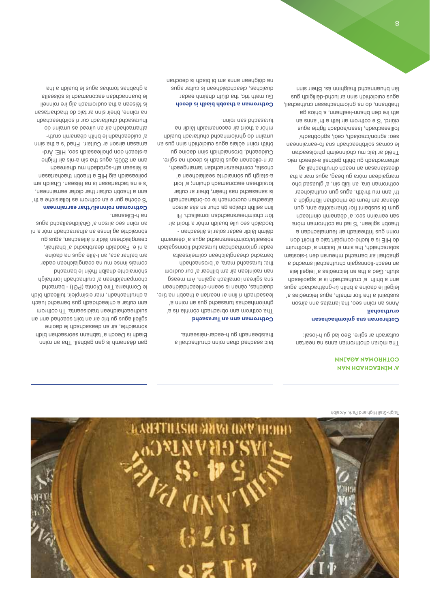

Taigh-Stail Highland Park, Arcaibh

## **N. MINEACHADH NAN**

**MAN AGAINN** 

Tha mòran chothroman anns na neartan cultarach ar sgìre. Seo iad gu h-ìosal:

#### **Cothroman sna gnìomhachasan**

#### **cruthachail**

Anns an roinn seo, tha iarratas ann airson susbaint a tha fìor mhath, agus teicneòlas a' leigeil le daoine a bhith ùr-gnàthachadh agus ann a bhith a' cruthachadh is a' sgaoileadh stuth. Ged a tha an teicneòlas a' leigeil leis an neach-tionnsgain chruthachail smachd a ghabhail air barrachd mheuran den t-siostam solarachaidh, tha sinn a' faicinn a' chothruim do HIE is a luchd-compàirt taic a thoirt don roinn gus frithealadh air feumalachdan a thaobh sgilean. 'S iad na cothroman mòra san earrainn seo: a' dèanamh cinnteach gum bi susbaint fìor bharraichte ann, gun dèanar am feum de mhodhan lìbhrigidh a th' ann mu thràth, agus gun cruthaichear cothroman ùra, an lùib sin, a' gluasad bho margaidean mòra gu beag, agus mar a tha dleastanasan an neach chruthachail ag atharrachadh gu bhith gabhail a-steach reic. Thèid ar taic mu choinneimh phròiseactan le comas soirbheachadh sna fo-earrainnean seo: sgrion/craoladh, ceòl, sgrìobhadh/ foillseachadh, fasan/aodach fighte agus ciùird. 'S e cothrom air leth a th' anns an ath ìre den bhann-leathann, a bhios ga thabhann, do na gnìomhachasan cruthachail, agus cuidichidh ainn ar luchd-dèiligidh gus làn bhuannachd fhaighinn às. Bheir sinn

taic seachad dhan roinn chruthachail a thaisbeanadh gu h-eadar-nàiseanta.

#### **urasachd T Cothroman ann an**

Tha cothrom ann obrachadh còmhla ris a' ghnìomhachas turasachd gus an roinn a' leasachadh ri linn ar neartan a thaobh na tìre, dualchas, cànan is seann-chleachdaidhean gasem mA .nniaga doallamoi naeriga ana nan raointean air am bithear a' cur cudrom tha: turasachd mara, a' brosnachadh barrachd cheanglaichean coimeirsealta eadar gnìomhachdan turasachd tionnsgalach sòisealta/coimhearsnachd agus a' dèanamh dàimh làidir eadar solar is àiteachan faodaidh seo uile buaidh mhòr a thoirt air tòrr choimhearsnachdan iomallach. Ri linn seilbh chalpa ga chur an sàs airson àiteachan cudromach le co-òrdanachadh is sanasachd nas fheàrr, bheir ar cultar toraidhean eaconamach dhuinn; a' toirt a-staigh gu sònraichte seallaidhean a' chosta, coimhearsnachdan tarraingeach, ar n-eileanan agus biadh is deoch na sgìre. Cuideachd, brosnaichidh sinn daoine gu bhith roinn eòlais agus cuidichidh sin gus an urrainn do ghnìomhachd chultarach buaidh mhòr a thoirt air eaconamaidh làidir na turasachd san roinn.

#### **Cothroman a thaobh biadh is deoch**

Gu math tric, tha dlùth dhàimh eadar dualchas, cleachdaidhean is cultar agus na dòighean anns am bi biadh is deochan

gan dèanamh is gan gabhail. Tha an roinn Biadh is Deoch a' tabhann seòrsachan bìdh sònraichte, air an deasachadh le daoine sgileil agus gu tric air an toirt seachad ann an suidheachaidhean traidiseanta. Th cothrom ann cultar a chleachdadh gus barrachd luach a chruthachadh, mar eisimpleir, tuilleadh bìdh le Comharra Tìre Dìonta (PGI) - barrachd chompanaidhean a' cruthachadh ìomhaigh shònraichte dhaibh fhèin le barrachd comais innse mu na ceanglaichean eadar am bathar aca, an t-àite agus na daoine a nì e. Faodaidh dearbhachd a' bhathair, ceanglaichean làidir ri àiteachan, agus gu sònraichte ag innse an atharrachadh mòr a nì an roinn seo airson a' Ghàidhealtachd agus na h-Eileanan. **Cothroman roinneil/thar earrainnean**

'S dòcha gur e an cothrom as follaisiche a th' ann a thaobh cultair thar diofar earrainnean, 's e na tachartasan is na fèisean. Chaidh am poileasaidh aig HIE a thaobh thachartasan is fèisean ath-sgrùdadh mu dheireadh an an 2009, agus tha sin a-nis air fhighe a-steach don phoileasaidh seo, HIE: Àrdamasan airson ar Cultair. Fhad 's a tha sinn a' cuideachadh le bhith dèanamh cruthatharrachadh air an uiread as urrainn do thurasachd chultarach cur ri soirbheachadh na roinne, bheir sinn ar taic do thachartasan liennio aní gis dosmonbuo sdt s nsesiét ai le buannachdan eaconamach is sòisealta a ghabhas tomhas agus le buaidh a tha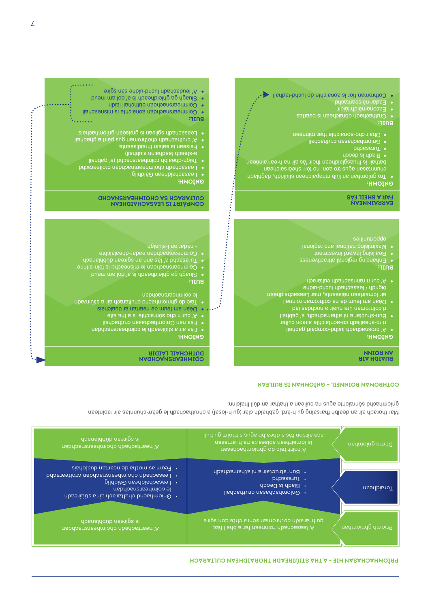### **FIQUARA HIS - A THA STIÙIREADH HORAIDHEAN CULTARACH**

| is sqirean dipplanach<br>meartachadh choimhearsnachdan                                                                                                                            | aca air ou a shealbh a shinn an thoirt gu buil<br>nsamme-d an atlaesiós naetriamoi ai<br>A' toirt taic do ghniomhachasan                                                                                                                                                                                                                                       | Dàrna gniomhan   |
|-----------------------------------------------------------------------------------------------------------------------------------------------------------------------------------|----------------------------------------------------------------------------------------------------------------------------------------------------------------------------------------------------------------------------------------------------------------------------------------------------------------------------------------------------------------|------------------|
| einm as motha de neartan dualchais<br>• Leasachadh choimhearsnachdan croitearachd<br>· Leasachaidhean Gàidhliq<br>le coimhearsnachdan<br>dheeniusta a nia doanatludo bdoadmoino · | . Bun-structair a ni atharrachadh<br>pubses in the public of the power of the public of the public or the public or the public or $\mathbf{p}$ and $\mathbf{p}$ and $\mathbf{p}$ and $\mathbf{p}$ and $\mathbf{p}$ and $\mathbf{p}$ and $\mathbf{p}$ and $\mathbf{p}$ and $\mathbf{p}$ and $\mathbf{p}$ and<br>• Biadh is Deoch<br>• Gniomhachasan cruthachail | Toraldhean       |
| is sqirean qipplanach<br>mebroament diperson in A                                                                                                                                 | 916 per junidos us cothroman souraichte don sgìre<br>easachada raf masmrior dhadoasael 'A,                                                                                                                                                                                                                                                                     | Priomh ghnjomhan |

Mar thoradh air an dealbh fharsaing gu h-àrd, gabhaidh clàr (gu h-ìosal) a chruthachadh le geàrr-chunntas air raointean gnìomhachd sònraichte agus na builean a thathar an dùil fhaicinn:

#### **COLHBOWAN BOINNEIL - GNIOMHAN IS BUILEAN**



## COULTARACH SA CHOIMHEARSNACHD<br>COMPÀIRT IS LEASACHAIDHEAN

**DOLHCHVIF FYIDIB<br>CÓIMHEVB2NVCHDVN** 

#### **: hmo nì G**

- Leasachaidhean Gàidhlig •
- Leasachadh choimhearsnachdan croitearachd •
- Taigh-dhealbh coimhearsnachd (a' gabhail a-steach feadhainn siubhail)
- Fèisean is ealain thraidiseanta •
- $\bullet$  A' cruthachadh chothroman gus pàirt a ghabhail
- Leasachadh sgilean is greisean-gnìomhachais •
- 
- **BOIL:**
- Coimhearsnachdan aonaichte is misneachail Coimhearsnachdan dùthchail làidir •
- Sluagh ga ghleidheadh is a' dol am meud
- A' leudachadh luchd-uidhe san sgìre •
- 

### **EARRAINNEAN FÀS EIL HB A FAR**

#### **:** HWOĮN9

**AIA HOIAUB**<br>BUAIDH AIR

- Tro gnìomhan an lùib mhapaichean stiùiridh, riaghladh chunntasan agus tro aon, no tòrr sheòrsaichean
- bathair is fhuasglaidhean thoir fàs air na h-earrainnean
- Biadh is deoch •
- $p$ urasachd  $\bullet$
- Gnìomhachasan cruthachail •
- Obair cho-aonaichte thar roinnean •
- 

#### **uil: B**

- Cruthachadh obraichean is beartas •
- Eaconamaidh làidir •
- Eadar-nàiseantachd •
- Cothroman fìor is aonaichte do luchd-tadhail •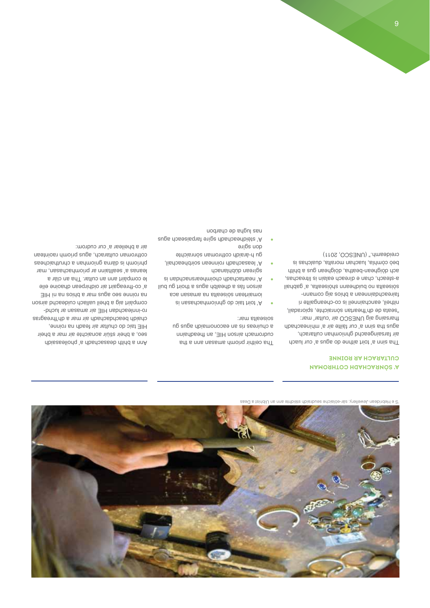

'S e Hebridean Jewellery, sàr-eòlaiche seudraidh stèidhte ann an Uibhist a Deas

Tha ceithir priomh amasan ann a tha cudromach airson HIE, an fheadhainn a chuireas ris an eaconomaidh agus gu soisealta mar:

- A' toirt taic do ghnìomhachasan is iomairtean sòisealta na amasan aca
- airson fàs a dhealbh agus a thoirt gu buil A' neartachadh choimhearsnachdan is • sgìrean dùbhlanach
- A' leasachadh roinnean soirbheachail, gu h-àraidh cothroman sònraichte don sgìre
- A' stèidheachadh sgìre farpaiseach agus nas lugha de charbon

## **M** SONBYCHVDH COLHBONVN **CULTARACH AR ROINNE**

Tha sinn a' toirt aithne do agus a' cur luach air farsaingeachd ghnìomhan cultarach, agus tha sinn a' cur fàilte air a' mhìneachadh fharsaing aig UNESCO air 'cultar' mar: "seata de dh'fheartan sònraichte, spioradail, nitheil, eanchainneil is co-cheangailte ri faireachdainnean a bhios aig comannsòisealta no buidheann shòisealta, a' gabhail a-steach, chan e dìreach ealain is litreachas, ach dòighean-beatha, dòighean gus a bhith beò còmhla, luachan moralta, dualchas is creideamh." (UNESCO, 2011)

Ann a bhith deasachadh a' phoileasaidh seo, a bheir stiùir aonaichte air mar a bheir HIE taic do chultar air feadh na roinne, chaidh beachdachadh air mar a dh'fhreagras ro-innleachdan HIE air amasan ar luchdcompàirt aig a bheil uallach cuideachd airson na roinne seo agus mar a bhios na nì HIE a' co-fhreagairt air oidhirpean dhaoine eile le compàirt ann an cultar. Tha an clàr a leanas a' sealltainn ar prìomhachasan, mar phrìomh is dàrna gnìomhan a chruthaicheas cothroman cultarach, agus prìomh raointean air a bheilear a' cur cudrom: 6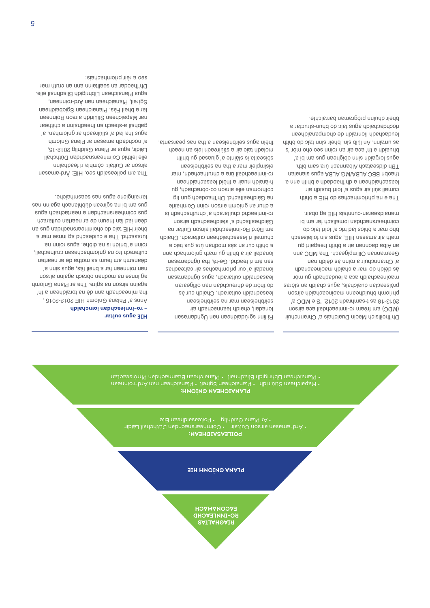**a**<br>**B idded BO-INNLEACHD FACONAMACH** 

#### **IE ARE ARE ARRIBLE**

#### **EDIFFURITION:**

#### **PLANAICHEAN GNIOMH:**

 Àrd-roinnean nan Planaichean • Sgìreil Planaichean • Stiùiridh Mapaichean •  $\bullet$  Planaicheaciddan Plandhan  $\cdot$  Planaichean Buannachdan Phròiseactan Planaichean  $\circ$ 

Ri linn sgrùdaidhean nan Ùghdarrasan Ionadail, chaidh teannachadh air seirbheisean mar na seirbheisean leasachaidh cultarach. Chaidh cur às do thòrr de dhreuchdan nan oifigearan leasachaidh cultarach, agus ùghdarrasan ionadail a' cur prìomhachas air caiteachas san àm ri teachd. Ge-tà, tha ùghdarrasan ionadail air a bhith gu math gnìomhach ann a bhith cur an sàs modhan ùra gus taic a chumail ri leasachaidhean cultarach. Chaidh am Bòrd Ro-innleachdail airson Cultar na Gàidhealtachd a' steidheachadh airson ro-innleachd chultarach a' chruthachadh is a chur an gnìomh airson roinn Comhairle na Gàidhealtachd. Dh'fhaodadh gun tig cothroman eile airson co-obrachadh, gu h-àraidh nuair a thèid leasachaidhean ro-innleachdail ùra a chruthachadh, mar eisimpleir mar a tha na seirbheisean sòisealta is slàinte a' gluasad gu bhith moladh taic air a stiùireadh leis an neach

fhèin agus seirbheisean a tha nas pearsanta.

Tha am poileasaidh seo, HIE: Àrd-amasan airson ar Cultair, còmhla ri feadhainn eile leithid Coimhearsnachdan Dùthchail Làidir, agus ar Plana Gàidhlig 2012-15, a' nochdadh amasan ar Plana Gnìomh agus tha iad a' stiùireadh ar gnìomhan, a' gabhail a-steach an fheadhainn a chithear nar Mapaichean Stiùiridh airson Roinnean far a bheil Fàs, Planaichean Sgiobaidhean Sgìreil, Planaichean nan Àrd-roinnean, agus Planaichean Lìbhrigidh Bliadhnail eile. Dh'fhaodar an sealltainn ann an cruth mar seo a rèir prìomhachais:

 **agus cultar IE H**

**– ro-innleachdan iomchaidh**

Anns a' Phlana Gnìomh HIE 2012-2015 , tha mìneachadh ann dè na toraidhean a th' againn airson na sgìre. Tha ar Plana Gnìomh ag innse na modhan obrach againn airson nan roinnean far a bheil fàs, agus sinn a' dèanamh am feum as motha de ar neartan cultarach tro na gnìomhachasan cruthachail, roinn a' bhìdh is na dibhe, agus roinn na turasachd. Tha e cuideachd ag innse mar a bheir HIE taic do choimhearsnachdan gus an dèan iad làn fheum de ar neartan cultarach gus coimhearsnachdan a neartachadh agus gus am pi na saìrean dùbhlanach againn nas tarraingiche agus nas seasmhaiche.

Dh'fhoillsich Maoin Dualchais a' Chrannchuir (MDC) am frèam ro-innleachdail aca airson 2013-18 as t-samhradh 2012. 'S e MDC a' phrìomh bhuidheann maoineachaidh airson pròiseactan dualchais, agus chaidh an stòras maoineachaidh aca a leudachadh gu mòr às dèidh do mar a chaidh maoineachadh a' Chrannchuir a roinn às dèidh nan Geamannan Oilimpigeach. Tha MDC ann an Alba daonnan air a bhith freagairt gu math air amasan HIE, agus sin follaiseach bho mar a bhios iad tric a' toirt taic do coimhearsnachdan iomallach far am bi manaidsearan-cunntais HIE ag obair.

Tha e na phrìomhachas do HIE a bhith cumail sùil air agus a' toirt buaidh air leasachaidhean a dh'fhaodadh a bhith ann a thaobh BBC ALBA/MG ALBA agus sianalan TBh didseatach Albannach ùra sam bith, agus lorgaidh sinn dòighean gus am bi a' bhuaidh a th' aca air an roinn seo cho mòr 's as urrainn. An lùib sin, bheir sinn taic do bhith leudachadh lìonraidh de chompanaidhean riochdachaidh agus taic do bhun-structar a bheir dhuinn prògraman barraichte.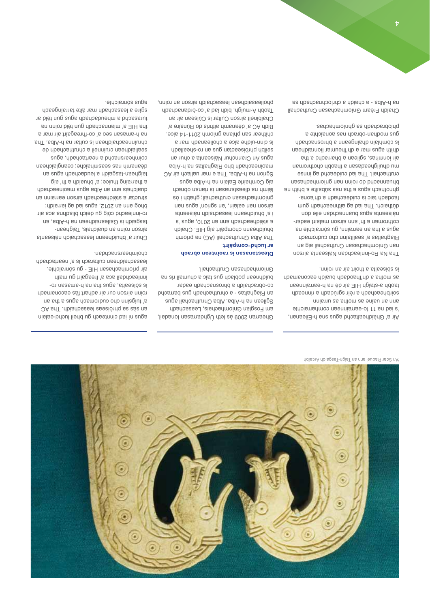

Air a' Ghàidhealtachd agus sna h-Eileanan, 's iad na 11 fo-earrainnean comharraichte ann an uaine as motha as urrainn soirbheachadh a rèir sgrùdadh a rinneadh taobh a-staigh HIE air dè na h-earrainnean as motha a dh'fhaodadh buaidh eaconamach is sòisealta a thoirt air an roinn.

Tha Na Ro-innleachdan Màiseanta airson nan Gnìomhachasan Cruthachail aig an Riaghaltas a' sealltainn cho cudromach agus a tha an earrainn, gu sònraichte na cothroman a th' ann airson malairt eadarnàiseanta agus buannachdan eile don mug dbadosendtia ga bai adT .doiadtúb faodadh taic is cuideachadh a dh'aonaghnothach agus a tha nas sùbailte a bhith na ares published and dispose a green as are are are are are a cruthachail. Tha iad cuideachd ag innse mu dhuilgheadasan a thaobh chothroman air ionmhas, sgilean a bharrachd a tha dhìth agus nar a dh'fheumar lìonraidhean is còmhlain dhaingeann a bhrosnachadh gus modhan-obrach nas aonaichte a phiobrachadh sa ghnìomhachas.

Chaidh Frèam Gnìomhachasan Cruthachail na h-Alba - a chaidh a chrìochnachadh sa

agus iad cinnteach gu bheil luchd-ealain an sàs sa phròiseas leasachaidh. Tha AC a' tuigsinn cho cudromach agus a tha an roinn airson cur air adhart fàs eaconamach is sòisealta, agus tha na h-amasan roinnleachdail aca a' freagairt gu math air prìomhachasan HIE - gu sònraichte, leasachaidhean cultarach is a' neartachadh choimhearsnachdan.

Chuir a' bhuidheann leasachaidh nàiseanta airson roinn an dualchais, Taigheantasgaidh is Gailearaidhean na h-Alba, an ro-innleachd còig gu deich bliadhna aca air bhog ann an 2012, agus iad ag iarraidh: structar a stèidheachadh airson earrainn an dbahaseniosm auga adlA na nns aisdolaub a tharraing thuice; a' bhuaidh a th' aig taighean-tasgaidh a leudachadh agus an dèanamh nas seasmhaiche; ceanglaichean coimhearsnachd a neartachadh, agus seallaidhean cruinneil a chruthachadh de chruinneachaidhean is cultar na h-Alba. Tha na h-amasan seo a' co-fhreagairt air mar a tha HIE a' miannachadh gun tèid roinn na turasachd a mheudachadh agus gun tèid ar sgìre a leasachadh mar àite tarraingeach agus sònraichte.

> Ghearran 2009 às leth Ùghdarrasan Ionadail, am Fosglan Gnìomhachais, Leasachadh Sgilean na h-Alba, Alba Chruthachail agus an Riaghaltas - a chruthachadh gus barrachd co-obrachaidh a bhrosnachadh eadar buidhnean poblach gus taic a chumail ris na Gnìomhachasan Cruthachail.

#### **leastanasan is raointean obrach D ar luchd-compàirt**

Tha Alba Chruthachail (AC) na prìomh bhuidheann chompàirt aig HIE. Chaidh a stèidheachadh ann an 2010, agus 's i a' bhuidheann leasachaidh nàiseanta airson nan ealain, 'an sgrion' agus nan gnìomhachasan cruthachail; ghabh i òs làimh na dleastanasan is rianan obrach aig Comhairle Ealain na h-Alba agus Sgrion na h-Alba. Tha e mar uallach air AC maoineachadh bho Riaghaltas na h-Alba agus An Crannchur Nàiseanta a chur an seilbh phròiseactan gus an ro-spealladh is cinn-uidhe aice a choileanadh mar a chithear san phlana gnìomh 2011-14 aice. Bidh AC a' dèanamh aithris do Rùnaire a' Chaibineit airson Cultar is Cùisean air an Taobh A-muigh, bidh iad a' co-òrdanachadh phoileasaidhean leasachaidh airson an roinn,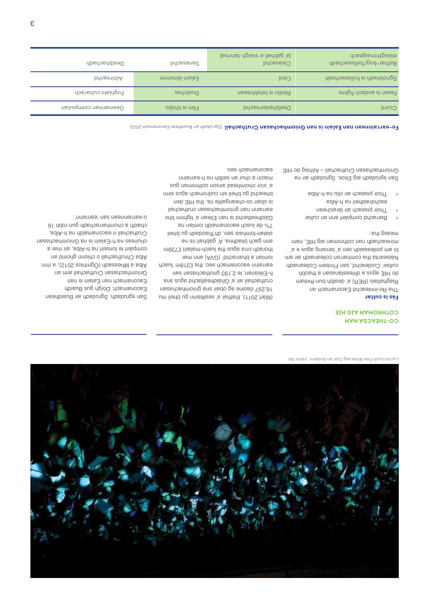

Luchd cluich Fèis Bhlas aig Cùirt an Aodainn, Inbhir Nis

## **SO-THEACSA NAN COTHBOMAN AIG HIE**

#### **às is cultar F**

Tha Ro-innleachd Eaconamach an Riaghaltais (RER) a' dealbh bun-fhrèam do HIE agus a dhleastanasan a thaobh cultair. Cuideachd, san Fhrèam Coileanaidh Nàiseanta tha comharran coileanaidh air am bi am poileasaidh seo a' tarraing agus e a' mìneachadh nan cothroman aig HIE, nam measg tha:

- Barrachd compàirt ann an cultar •
- Thoir piseach air làraichean eachdraidheil na h-Alba
- Thoir piseach air cliù na h-Alba •

San sgrùdadh aig Ekos, Sgrùdadh air na Gnìomhachasan Cruthachail – Aithisg do HIE

(Màrt 2011), thathar a' sealltainn gu bheil mu 16,297 daoine ag obair sna gnìomhachasan cruthachail air a' Ghàidhealtachd agus sna h-Eileanan; le 2,193 gnothachasan san earrainn eaconamach seo, tha £318m 'luach iomlan a bharrachd' (GVA) ann mar thoradh orra agus tha luach-malairt £739m ann gach bliadhna. A' gabhail ris na slatan-tomhais seo, dh'fhaodadh gu bheil 7% de luach eaconamaidh iomlan na Gàidhealtachd is nan Eilean a' tighinn bho earrainn nan gnìomhachasan cruthachail is obair co-cheangailte ris, tha HIE den bheachd gu pheil sin cnquouse yours since agust an a' sìor choimhead airson cothroman gus

maoin a chur an seilbh na h-earrainn

eaconamaich seo.

San sgrùdadh, Sgrùdadh air Buaidhean Eaconamach: Dòigh gus Buaidh Eaconamach nan Ealain is nan Gnìomhachasan Cruthachail ann an Alba a Mheasadh (Ògmhios 2012), a rinn Alba Chruthachail o chionn ghoirid an compàirt le Iomairt na h-Alba, air mar a chuireas na h-Ealain is na Gnìomhachasan Cruthachail ri eaconamaidh na h-Alba, chaidh a chomharrachadh 16 o-earrainnean san 'earrainn':

2012) Eaconamach Buaidhean air (Sgrùdadh **nìomhachasan Cruthachail G alain is nan E o-earrainnean nan F**

| eileagtronaigeach<br>Bathar-bog/foillseachadh | (a) (sanded deight s-s liaddag)<br>Cleasachd | pypeseueg        | Dealbhachadh          |
|-----------------------------------------------|----------------------------------------------|------------------|-----------------------|
| dbadoseslliot ai dbaddoing2                   | Ceol                                         | Ealain lėirsinne | h <i>h</i> itireachd  |
| Fasan is aodach fighte                        | Rèidio is telebhisean                        | <b>Dualchas</b>  | Foghlam cultarach     |
| <b>Driving</b>                                | Dealbhadareachd                              | Film is bhidio   | Geamannan coimpiutair |
|                                               |                                              |                  |                       |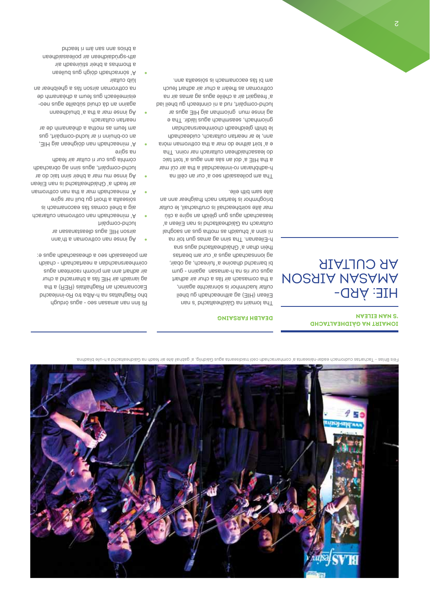

Feis Bhlas Haus dan eadar-nàisean dhas lis an aile ia dha agus Gàidhlig, a' gaidh is a' chaidheal anns an chaidh chan agus Gàidh air aigh aiste air feadh aiste air feadh aiste air feadh na Gàidhealtacha an t-aithe bliadhna

Ri linn nan amasan seo - agus pughali bho Riaghaltas na h-Alba tro Ro-innleachd Eaconamach an Riaghaltais (RER) a tha ag iarraidh air HIE fàs a bharrachd a chur air adhart ann am prìomh raointean agus coimhearsnachdan a neartachadh - chaidh am poileasaidh seo a dheasachadh agus e:

- Ag innse nan cothroman a th'ann bA airson HIE agus dleastanasan ar luchd-compàirt
- A' mìneachadh nan cothroman cultarach aig a bheil comas fàs eaconamach is sòisealta a thoirt gu buil nar sgìre A' mìneachadh mar a tha nan cothroman •
- air feadh a' Ghàidhealtachd is nan Eilean Ag innse mu mar a bheir sinn taic do ar • luchd-compàirt, agus sinn ag obrachadh còmhla gus cur ri cultar air feadh
- A' mìneachadh nan dòighean aig HIE, an co-bhuinn ri ar luchd-compàirt, gus am feum as motha a dhèanamh de ar neartan cultarach

na sgìre

- Ag innse mar a tha a' bhuidheann againn an dà chuid sùbailte agus neoeis imeileach gna gus an de una de pu na cothroman airson fàs a gheibhear an lùib cultair
- A' sònrachadh dòigh gus builean a thomhas a bheir stiùireadh air ath-sgrùdaidhean air poileasaidhean a bhios ann san àm ri teachd

#### **DEVEBH FARSAING**

Tha Iomairt na Gàidhealtachd 's nan Eilean (HIE) ag aithneachadh gu bheil cultar luachmhor is sònraichte againn, a tha comasach air fàs a chur air adhart agus cur ris na h-amasan againn - gum bi barrachd dhaoine a' fuireach, ag obair, ag ionnsachadh agus a' cur am beartas fhèin dhan a' Ghàidhealtachd agus sna h-Eileanan. Tha sinn ag amas gun toir na nì sinn a' bhuaidh as motha gus an saoghal cultarach na Gàidhealtachd is nan Eilean a' leasachadh agus gun glèidh an sgìre a cliù mar àite soirbheachail is cruthachail, le cultar brìoghmhor is feartan nach fhaighear ann an àite sam bith eile.

Tha am poileasaidh seo a' cur an cèill na h-adhbharan ro-innleachdail a tha air cùl mar a tha HIE a' dol an sàs ann agus a' toirt taic do leasachaidhean cultarach nar roinn. Tha e a' toirt aithne do mar a tha cothroman mòra ann, le ar neartan cultarach, cuideachadh le bhith gleidheadh choimhearsnachdan gnìomhach, seasnhach agus làidir. Tha e ag innse mun gnìomhan aig HIE agus ar luchd-compàirt, rud a nì cinnteach gu bheil iad a' freagairt air a chèile agus ag amas air na cothroman as fheàrr a chur air adhart feuch

am bi fàs eaconamach is sòisealta ann.

#### **IOMAIRT NA GÀIDHEALTACHD INABLEAN ETLEAN**

## HIE: **ARD-**AMASAN AIRSON AR CULTAIR